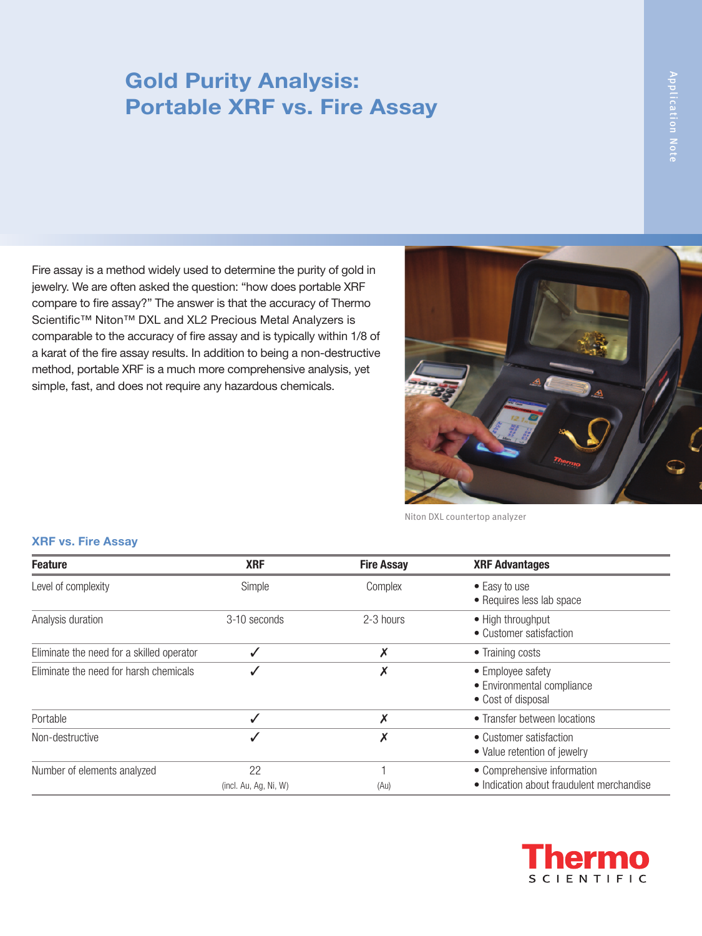## Gold Purity Analysis: Portable XRF vs. Fire Assay

Fire assay is a method widely used to determine the purity of gold in jewelry. We are often asked the question: "how does portable XRF compare to fire assay?" The answer is that the accuracy of Thermo Scientific™ Niton™ DXL and XL2 Precious Metal Analyzers is comparable to the accuracy of fire assay and is typically within 1/8 of a karat of the fire assay results. In addition to being a non-destructive method, portable XRF is a much more comprehensive analysis, yet simple, fast, and does not require any hazardous chemicals.



Niton DXL countertop analyzer

## XRF vs. Fire Assay

| <b>Feature</b>                            | <b>XRF</b>                  | <b>Fire Assay</b> | <b>XRF Advantages</b>                                                    |
|-------------------------------------------|-----------------------------|-------------------|--------------------------------------------------------------------------|
| Level of complexity                       | Simple                      | Complex           | • Easy to use<br>• Requires less lab space                               |
| Analysis duration                         | 3-10 seconds                | 2-3 hours         | • High throughput<br>• Customer satisfaction                             |
| Eliminate the need for a skilled operator |                             | X                 | • Training costs                                                         |
| Eliminate the need for harsh chemicals    |                             |                   | • Employee safety<br>• Environmental compliance<br>• Cost of disposal    |
| Portable                                  |                             |                   | • Transfer between locations                                             |
| Non-destructive                           |                             | Х                 | • Customer satisfaction<br>• Value retention of jewelry                  |
| Number of elements analyzed               | 22<br>(incl. Au, Ag, Ni, W) | (Au)              | • Comprehensive information<br>• Indication about fraudulent merchandise |